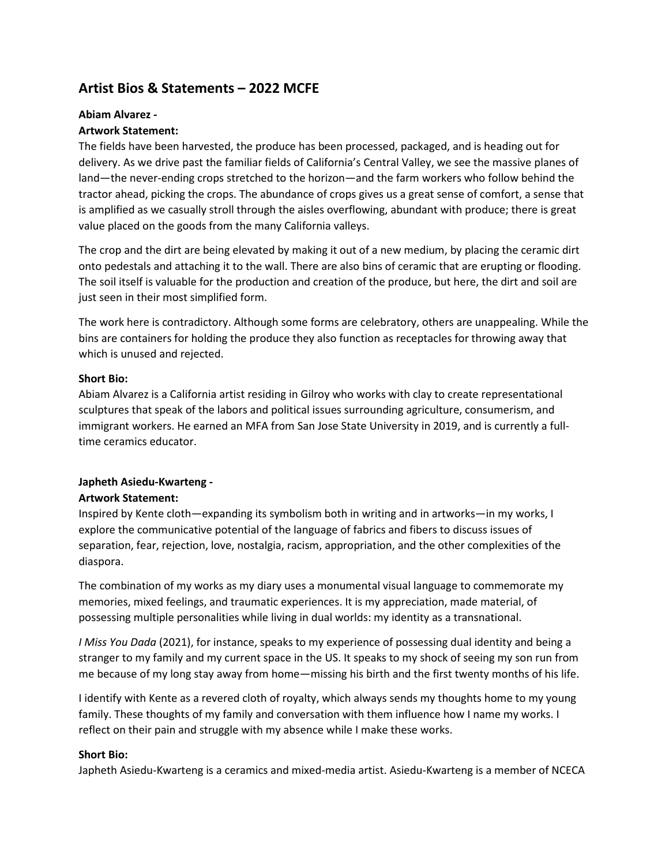# **Artist Bios & Statements – 2022 MCFE**

# **Abiam Alvarez -**

# **Artwork Statement:**

The fields have been harvested, the produce has been processed, packaged, and is heading out for delivery. As we drive past the familiar fields of California's Central Valley, we see the massive planes of land—the never-ending crops stretched to the horizon—and the farm workers who follow behind the tractor ahead, picking the crops. The abundance of crops gives us a great sense of comfort, a sense that is amplified as we casually stroll through the aisles overflowing, abundant with produce; there is great value placed on the goods from the many California valleys.

The crop and the dirt are being elevated by making it out of a new medium, by placing the ceramic dirt onto pedestals and attaching it to the wall. There are also bins of ceramic that are erupting or flooding. The soil itself is valuable for the production and creation of the produce, but here, the dirt and soil are just seen in their most simplified form.

The work here is contradictory. Although some forms are celebratory, others are unappealing. While the bins are containers for holding the produce they also function as receptacles for throwing away that which is unused and rejected.

# **Short Bio:**

Abiam Alvarez is a California artist residing in Gilroy who works with clay to create representational sculptures that speak of the labors and political issues surrounding agriculture, consumerism, and immigrant workers. He earned an MFA from San Jose State University in 2019, and is currently a fulltime ceramics educator.

# **Japheth Asiedu-Kwarteng -**

# **Artwork Statement:**

Inspired by Kente cloth—expanding its symbolism both in writing and in artworks—in my works, I explore the communicative potential of the language of fabrics and fibers to discuss issues of separation, fear, rejection, love, nostalgia, racism, appropriation, and the other complexities of the diaspora.

The combination of my works as my diary uses a monumental visual language to commemorate my memories, mixed feelings, and traumatic experiences. It is my appreciation, made material, of possessing multiple personalities while living in dual worlds: my identity as a transnational.

*I Miss You Dada* (2021), for instance, speaks to my experience of possessing dual identity and being a stranger to my family and my current space in the US. It speaks to my shock of seeing my son run from me because of my long stay away from home—missing his birth and the first twenty months of his life.

I identify with Kente as a revered cloth of royalty, which always sends my thoughts home to my young family. These thoughts of my family and conversation with them influence how I name my works. I reflect on their pain and struggle with my absence while I make these works.

# **Short Bio:**

Japheth Asiedu-Kwarteng is a ceramics and mixed-media artist. Asiedu-Kwarteng is a member of NCECA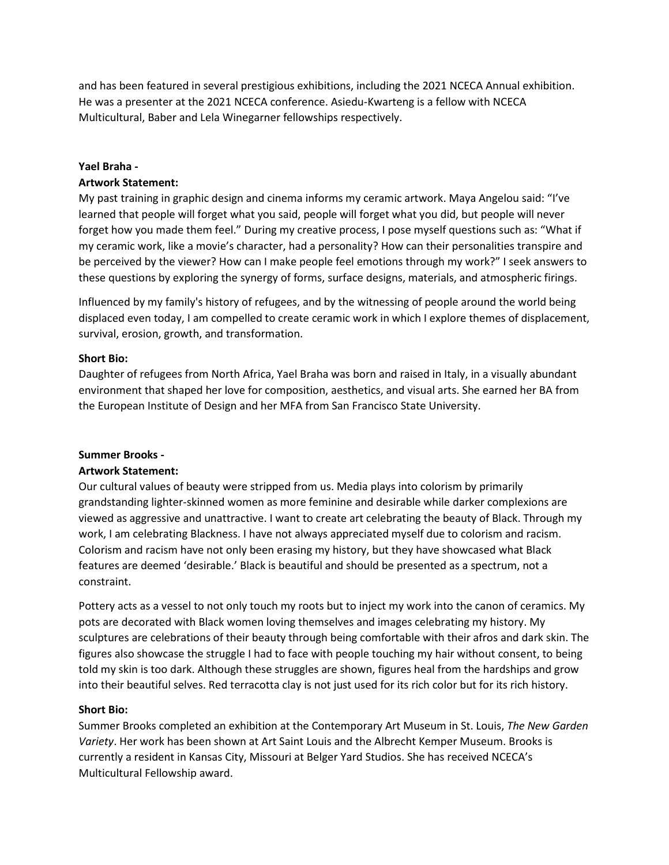and has been featured in several prestigious exhibitions, including the 2021 NCECA Annual exhibition. He was a presenter at the 2021 NCECA conference. Asiedu-Kwarteng is a fellow with NCECA Multicultural, Baber and Lela Winegarner fellowships respectively.

#### **Yael Braha -**

#### **Artwork Statement:**

My past training in graphic design and cinema informs my ceramic artwork. Maya Angelou said: "I've learned that people will forget what you said, people will forget what you did, but people will never forget how you made them feel." During my creative process, I pose myself questions such as: "What if my ceramic work, like a movie's character, had a personality? How can their personalities transpire and be perceived by the viewer? How can I make people feel emotions through my work?" I seek answers to these questions by exploring the synergy of forms, surface designs, materials, and atmospheric firings.

Influenced by my family's history of refugees, and by the witnessing of people around the world being displaced even today, I am compelled to create ceramic work in which I explore themes of displacement, survival, erosion, growth, and transformation.

#### **Short Bio:**

Daughter of refugees from North Africa, Yael Braha was born and raised in Italy, in a visually abundant environment that shaped her love for composition, aesthetics, and visual arts. She earned her BA from the European Institute of Design and her MFA from San Francisco State University.

#### **Summer Brooks -**

#### **Artwork Statement:**

Our cultural values of beauty were stripped from us. Media plays into colorism by primarily grandstanding lighter-skinned women as more feminine and desirable while darker complexions are viewed as aggressive and unattractive. I want to create art celebrating the beauty of Black. Through my work, I am celebrating Blackness. I have not always appreciated myself due to colorism and racism. Colorism and racism have not only been erasing my history, but they have showcased what Black features are deemed 'desirable.' Black is beautiful and should be presented as a spectrum, not a constraint.

Pottery acts as a vessel to not only touch my roots but to inject my work into the canon of ceramics. My pots are decorated with Black women loving themselves and images celebrating my history. My sculptures are celebrations of their beauty through being comfortable with their afros and dark skin. The figures also showcase the struggle I had to face with people touching my hair without consent, to being told my skin is too dark. Although these struggles are shown, figures heal from the hardships and grow into their beautiful selves. Red terracotta clay is not just used for its rich color but for its rich history.

#### **Short Bio:**

Summer Brooks completed an exhibition at the Contemporary Art Museum in St. Louis, *The New Garden Variety*. Her work has been shown at Art Saint Louis and the Albrecht Kemper Museum. Brooks is currently a resident in Kansas City, Missouri at Belger Yard Studios. She has received NCECA's Multicultural Fellowship award.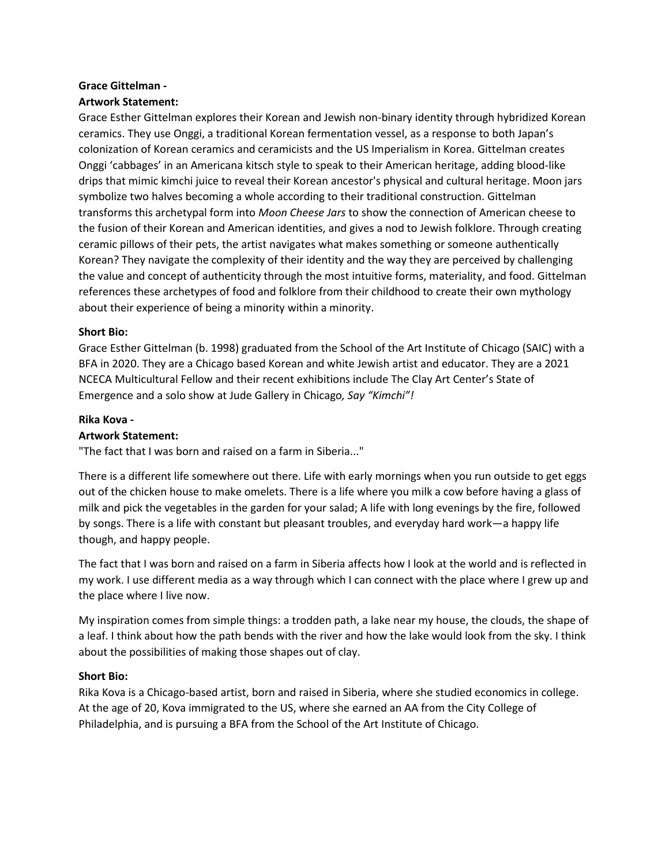# **Grace Gittelman -**

# **Artwork Statement:**

Grace Esther Gittelman explores their Korean and Jewish non-binary identity through hybridized Korean ceramics. They use Onggi, a traditional Korean fermentation vessel, as a response to both Japan's colonization of Korean ceramics and ceramicists and the US Imperialism in Korea. Gittelman creates Onggi 'cabbages' in an Americana kitsch style to speak to their American heritage, adding blood-like drips that mimic kimchi juice to reveal their Korean ancestor's physical and cultural heritage. Moon jars symbolize two halves becoming a whole according to their traditional construction. Gittelman transforms this archetypal form into *Moon Cheese Jars* to show the connection of American cheese to the fusion of their Korean and American identities, and gives a nod to Jewish folklore. Through creating ceramic pillows of their pets, the artist navigates what makes something or someone authentically Korean? They navigate the complexity of their identity and the way they are perceived by challenging the value and concept of authenticity through the most intuitive forms, materiality, and food. Gittelman references these archetypes of food and folklore from their childhood to create their own mythology about their experience of being a minority within a minority.

#### **Short Bio:**

Grace Esther Gittelman (b. 1998) graduated from the School of the Art Institute of Chicago (SAIC) with a BFA in 2020. They are a Chicago based Korean and white Jewish artist and educator. They are a 2021 NCECA Multicultural Fellow and their recent exhibitions include The Clay Art Center's State of Emergence and a solo show at Jude Gallery in Chicago*, Say "Kimchi"!*

#### **Rika Kova -**

### **Artwork Statement:**

"The fact that I was born and raised on a farm in Siberia..."

There is a different life somewhere out there. Life with early mornings when you run outside to get eggs out of the chicken house to make omelets. There is a life where you milk a cow before having a glass of milk and pick the vegetables in the garden for your salad; A life with long evenings by the fire, followed by songs. There is a life with constant but pleasant troubles, and everyday hard work—a happy life though, and happy people.

The fact that I was born and raised on a farm in Siberia affects how I look at the world and is reflected in my work. I use different media as a way through which I can connect with the place where I grew up and the place where I live now.

My inspiration comes from simple things: a trodden path, a lake near my house, the clouds, the shape of a leaf. I think about how the path bends with the river and how the lake would look from the sky. I think about the possibilities of making those shapes out of clay.

#### **Short Bio:**

Rika Kova is a Chicago-based artist, born and raised in Siberia, where she studied economics in college. At the age of 20, Kova immigrated to the US, where she earned an AA from the City College of Philadelphia, and is pursuing a BFA from the School of the Art Institute of Chicago.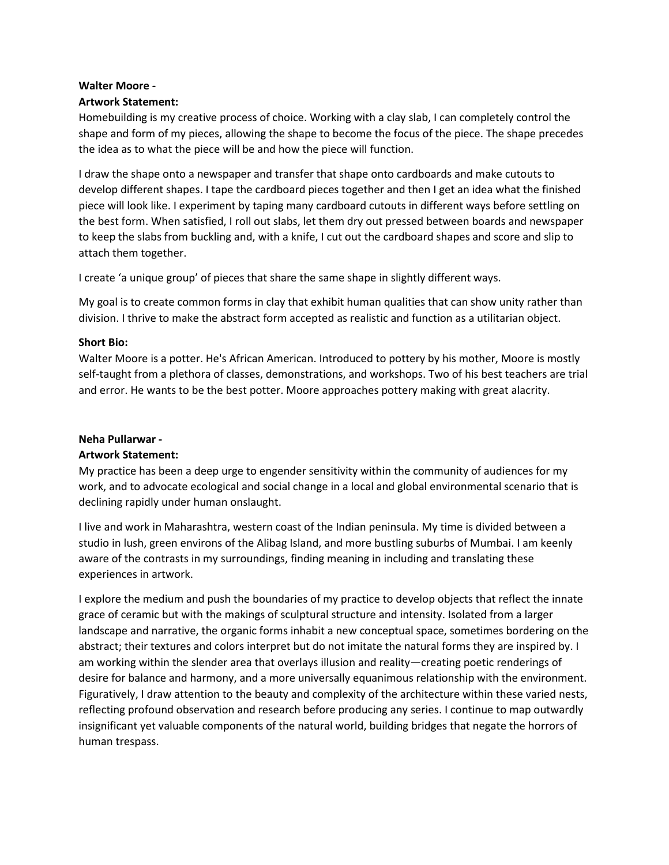# **Walter Moore -**

### **Artwork Statement:**

Homebuilding is my creative process of choice. Working with a clay slab, I can completely control the shape and form of my pieces, allowing the shape to become the focus of the piece. The shape precedes the idea as to what the piece will be and how the piece will function.

I draw the shape onto a newspaper and transfer that shape onto cardboards and make cutouts to develop different shapes. I tape the cardboard pieces together and then I get an idea what the finished piece will look like. I experiment by taping many cardboard cutouts in different ways before settling on the best form. When satisfied, I roll out slabs, let them dry out pressed between boards and newspaper to keep the slabs from buckling and, with a knife, I cut out the cardboard shapes and score and slip to attach them together.

I create 'a unique group' of pieces that share the same shape in slightly different ways.

My goal is to create common forms in clay that exhibit human qualities that can show unity rather than division. I thrive to make the abstract form accepted as realistic and function as a utilitarian object.

# **Short Bio:**

Walter Moore is a potter. He's African American. Introduced to pottery by his mother, Moore is mostly self-taught from a plethora of classes, demonstrations, and workshops. Two of his best teachers are trial and error. He wants to be the best potter. Moore approaches pottery making with great alacrity.

### **Neha Pullarwar -**

#### **Artwork Statement:**

My practice has been a deep urge to engender sensitivity within the community of audiences for my work, and to advocate ecological and social change in a local and global environmental scenario that is declining rapidly under human onslaught.

I live and work in Maharashtra, western coast of the Indian peninsula. My time is divided between a studio in lush, green environs of the Alibag Island, and more bustling suburbs of Mumbai. I am keenly aware of the contrasts in my surroundings, finding meaning in including and translating these experiences in artwork.

I explore the medium and push the boundaries of my practice to develop objects that reflect the innate grace of ceramic but with the makings of sculptural structure and intensity. Isolated from a larger landscape and narrative, the organic forms inhabit a new conceptual space, sometimes bordering on the abstract; their textures and colors interpret but do not imitate the natural forms they are inspired by. I am working within the slender area that overlays illusion and reality—creating poetic renderings of desire for balance and harmony, and a more universally equanimous relationship with the environment. Figuratively, I draw attention to the beauty and complexity of the architecture within these varied nests, reflecting profound observation and research before producing any series. I continue to map outwardly insignificant yet valuable components of the natural world, building bridges that negate the horrors of human trespass.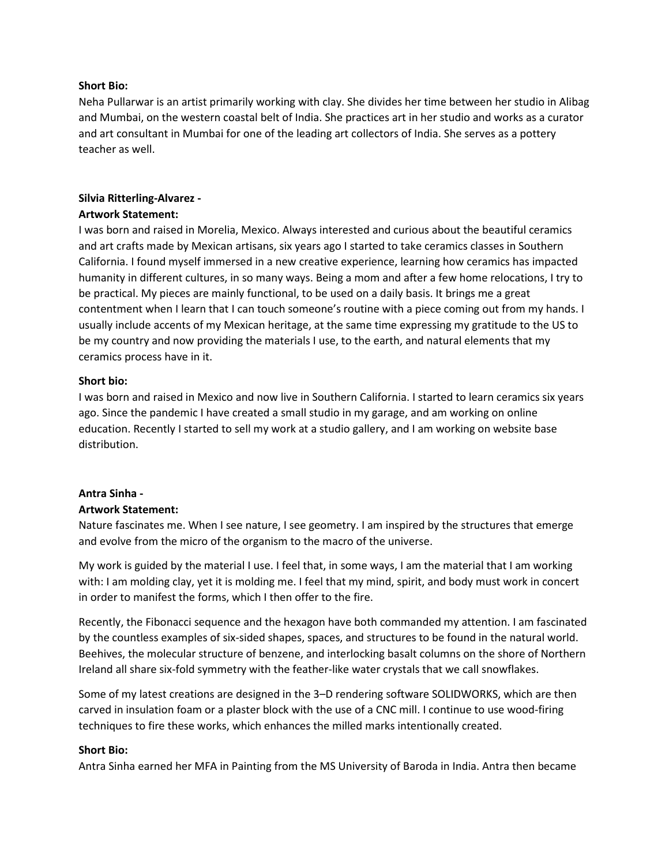#### **Short Bio:**

Neha Pullarwar is an artist primarily working with clay. She divides her time between her studio in Alibag and Mumbai, on the western coastal belt of India. She practices art in her studio and works as a curator and art consultant in Mumbai for one of the leading art collectors of India. She serves as a pottery teacher as well.

# **Silvia Ritterling-Alvarez -**

#### **Artwork Statement:**

I was born and raised in Morelia, Mexico. Always interested and curious about the beautiful ceramics and art crafts made by Mexican artisans, six years ago I started to take ceramics classes in Southern California. I found myself immersed in a new creative experience, learning how ceramics has impacted humanity in different cultures, in so many ways. Being a mom and after a few home relocations, I try to be practical. My pieces are mainly functional, to be used on a daily basis. It brings me a great contentment when I learn that I can touch someone's routine with a piece coming out from my hands. I usually include accents of my Mexican heritage, at the same time expressing my gratitude to the US to be my country and now providing the materials I use, to the earth, and natural elements that my ceramics process have in it.

#### **Short bio:**

I was born and raised in Mexico and now live in Southern California. I started to learn ceramics six years ago. Since the pandemic I have created a small studio in my garage, and am working on online education. Recently I started to sell my work at a studio gallery, and I am working on website base distribution.

#### **Antra Sinha -**

#### **Artwork Statement:**

Nature fascinates me. When I see nature, I see geometry. I am inspired by the structures that emerge and evolve from the micro of the organism to the macro of the universe.

My work is guided by the material I use. I feel that, in some ways, I am the material that I am working with: I am molding clay, yet it is molding me. I feel that my mind, spirit, and body must work in concert in order to manifest the forms, which I then offer to the fire.

Recently, the Fibonacci sequence and the hexagon have both commanded my attention. I am fascinated by the countless examples of six-sided shapes, spaces, and structures to be found in the natural world. Beehives, the molecular structure of benzene, and interlocking basalt columns on the shore of Northern Ireland all share six-fold symmetry with the feather-like water crystals that we call snowflakes.

Some of my latest creations are designed in the 3–D rendering software SOLIDWORKS, which are then carved in insulation foam or a plaster block with the use of a CNC mill. I continue to use wood-firing techniques to fire these works, which enhances the milled marks intentionally created.

#### **Short Bio:**

Antra Sinha earned her MFA in Painting from the MS University of Baroda in India. Antra then became